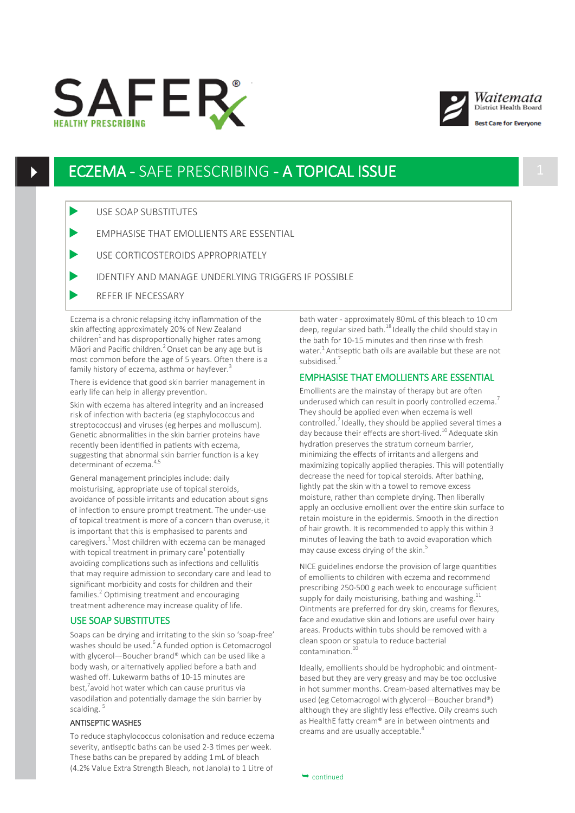





st Care for Evervone

## ECZEMA - SAFE PRESCRIBING - A TOPICAL ISSUE 1

- USE SOAP SUBSTITUTES
- EMPHASISE THAT EMOLLIENTS ARE ESSENTIAL
- USE CORTICOSTEROIDS APPROPRIATELY
- IDENTIFY AND MANAGE UNDERLYING TRIGGERS IF POSSIBLE
- REFER IF NECESSARY

Eczema is a chronic relapsing itchy inflammation of the skin affecting approximately 20% of New Zealand children $<sup>1</sup>$  and has disproportionally higher rates among</sup> Māori and Pacific children.<sup>2</sup> Onset can be any age but is most common before the age of 5 years. Often there is a family history of eczema, asthma or hayfever.<sup>3</sup>

There is evidence that good skin barrier management in early life can help in allergy prevention.

Skin with eczema has altered integrity and an increased risk of infection with bacteria (eg staphylococcus and streptococcus) and viruses (eg herpes and molluscum). Genetic abnormalities in the skin barrier proteins have recently been identified in patients with eczema, suggesting that abnormal skin barrier function is a key determinant of eczema.<sup>4,5</sup>

General management principles include: daily moisturising, appropriate use of topical steroids, avoidance of possible irritants and education about signs of infection to ensure prompt treatment. The under-use of topical treatment is more of a concern than overuse, it is important that this is emphasised to parents and caregivers.<sup>1</sup> Most children with eczema can be managed with topical treatment in primary care<sup>1</sup> potentially avoiding complications such as infections and cellulitis that may require admission to secondary care and lead to significant morbidity and costs for children and their families.<sup>2</sup> Optimising treatment and encouraging treatment adherence may increase quality of life.

## USE SOAP SUBSTITUTES

Soaps can be drying and irritating to the skin so 'soap-free' washes should be used.<sup>6</sup>A funded option is Cetomacrogol with glycerol—Boucher brand® which can be used like a body wash, or alternatively applied before a bath and washed off. Lukewarm baths of 10-15 minutes are best,<sup>7</sup> avoid hot water which can cause pruritus via vasodilation and potentially damage the skin barrier by scalding.<sup>5</sup>

## ANTISEPTIC WASHES

To reduce staphylococcus colonisation and reduce eczema severity, antiseptic baths can be used 2-3 times per week. These baths can be prepared by adding 1 mL of bleach (4.2% Value Extra Strength Bleach, not Janola) to 1 Litre of

bath water - approximately 80mL of this bleach to 10 cm deep, regular sized bath.<sup>18</sup> Ideally the child should stay in the bath for 10-15 minutes and then rinse with fresh water.<sup>1</sup> Antiseptic bath oils are available but these are not subsidised.<sup>7</sup>

## EMPHASISE THAT EMOLLIENTS ARE ESSENTIAL

Emollients are the mainstay of therapy but are often underused which can result in poorly controlled eczema.<sup>7</sup> They should be applied even when eczema is well controlled.<sup>7</sup> Ideally, they should be applied several times a day because their effects are short-lived.<sup>10</sup> Adequate skin hydration preserves the stratum corneum barrier, minimizing the effects of irritants and allergens and maximizing topically applied therapies. This will potentially decrease the need for topical steroids. After bathing, lightly pat the skin with a towel to remove excess moisture, rather than complete drying. Then liberally apply an occlusive emollient over the entire skin surface to retain moisture in the epidermis. Smooth in the direction of hair growth. It is recommended to apply this within 3 minutes of leaving the bath to avoid evaporation which may cause excess drying of the skin.<sup>5</sup>

NICE guidelines endorse the provision of large quantities of emollients to children with eczema and recommend prescribing 250-500 g each week to encourage sufficient supply for daily moisturising, bathing and washing.<sup>11</sup> Ointments are preferred for dry skin, creams for flexures, face and exudative skin and lotions are useful over hairy areas. Products within tubs should be removed with a clean spoon or spatula to reduce bacterial  $contamination.<sup>1</sup>$ 

Ideally, emollients should be hydrophobic and ointmentbased but they are very greasy and may be too occlusive in hot summer months. Cream-based alternatives may be used (eg Cetomacrogol with glycerol—Boucher brand®) although they are slightly less effective. Oily creams such as HealthE fatty cream® are in between ointments and creams and are usually acceptable.<sup>4</sup>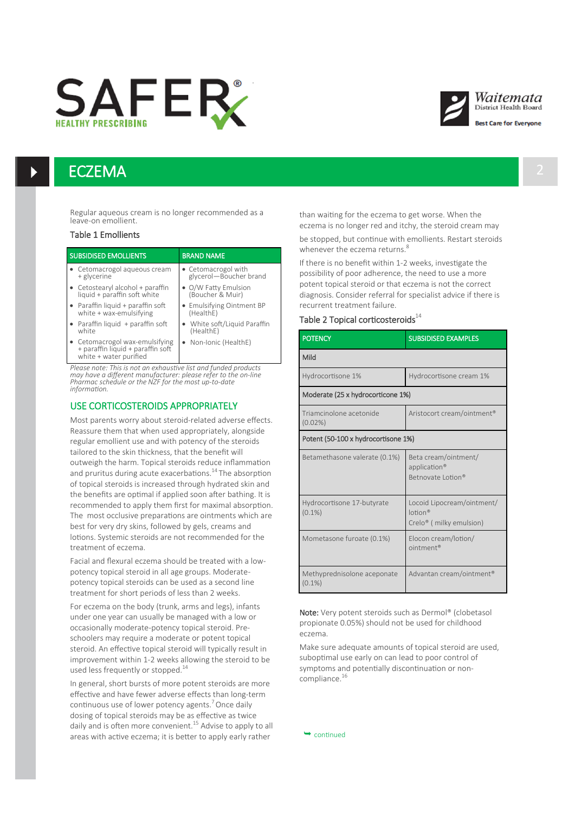# **SAFER**





est Care for Everyone

## **ECZEMA**

Regular aqueous cream is no longer recommended as a leave-on emollient.

#### Table 1 Emollients

| <b>SUBSIDISED EMOLLIENTS</b> |                                                                                               | <b>BRAND NAME</b>                             |  |  |
|------------------------------|-----------------------------------------------------------------------------------------------|-----------------------------------------------|--|--|
|                              | • Cetomacrogol aqueous cream<br>+ glycerine                                                   | • Cetomacrogol with<br>glycerol-Boucher brand |  |  |
|                              | • Cetostearyl alcohol + paraffin<br>liquid + paraffin soft white                              | • O/W Fatty Emulsion<br>(Boucher & Muir)      |  |  |
|                              | • Paraffin liquid + paraffin soft<br>white + wax-emulsifying                                  | • Emulsifying Ointment BP<br>(HealthE)        |  |  |
|                              | • Paraffin liquid + paraffin soft<br>white                                                    | • White soft/Liquid Paraffin<br>(HealthE)     |  |  |
|                              | • Cetomacrogol wax-emulsifying<br>+ paraffin liquid + paraffin soft<br>white + water purified | • Non-Ionic (HealthE)                         |  |  |

*Please note: This is not an exhaustive list and funded products may have a different manufacturer: please refer to the on-line Pharmac schedule or the NZF for the most up-to-date information.*

## USE CORTICOSTEROIDS APPROPRIATELY

Most parents worry about steroid-related adverse effects. Reassure them that when used appropriately, alongside regular emollient use and with potency of the steroids tailored to the skin thickness, that the benefit will outweigh the harm. Topical steroids reduce inflammation and pruritus during acute exacerbations.<sup>14</sup> The absorption of topical steroids is increased through hydrated skin and the benefits are optimal if applied soon after bathing. It is recommended to apply them first for maximal absorption. The most occlusive preparations are ointments which are best for very dry skins, followed by gels, creams and lotions. Systemic steroids are not recommended for the treatment of eczema.

Facial and flexural eczema should be treated with a lowpotency topical steroid in all age groups. Moderatepotency topical steroids can be used as a second line treatment for short periods of less than 2 weeks.

For eczema on the body (trunk, arms and legs), infants under one year can usually be managed with a low or occasionally moderate-potency topical steroid. Preschoolers may require a moderate or potent topical steroid. An effective topical steroid will typically result in improvement within 1-2 weeks allowing the steroid to be used less frequently or stopped.<sup>14</sup>

In general, short bursts of more potent steroids are more effective and have fewer adverse effects than long-term continuous use of lower potency agents.<sup>7</sup>Once daily dosing of topical steroids may be as effective as twice daily and is often more convenient.<sup>15</sup> Advise to apply to all areas with active eczema; it is better to apply early rather

than waiting for the eczema to get worse. When the eczema is no longer red and itchy, the steroid cream may

be stopped, but continue with emollients. Restart steroids whenever the eczema returns.<sup>8</sup>

If there is no benefit within 1-2 weeks, investigate the possibility of poor adherence, the need to use a more potent topical steroid or that eczema is not the correct diagnosis. Consider referral for specialist advice if there is recurrent treatment failure.

## Table 2 Topical corticosteroids $^{14}$

| [HeallIE]<br>• Non-Ionic (HealthE)                                                                                    | <b>POTENCY</b>                           | <b>SUBSIDISED EXAMPLES</b>                                               |  |  |
|-----------------------------------------------------------------------------------------------------------------------|------------------------------------------|--------------------------------------------------------------------------|--|--|
|                                                                                                                       | Mild                                     |                                                                          |  |  |
| e list and funded products<br>please refer to the on-line<br>most up-to-date                                          | Hydrocortisone 1%                        | Hydrocortisone cream 1%                                                  |  |  |
|                                                                                                                       | Moderate (25 x hydrocorticone 1%)        |                                                                          |  |  |
| <b>PROPRIATELY</b><br>id-related adverse effects.                                                                     | Triamcinolone acetonide<br>$(0.02\%)$    | Aristocort cream/ointment <sup>®</sup>                                   |  |  |
| appropriately, alongside<br>otency of the steroids                                                                    | Potent (50-100 x hydrocortisone 1%)      |                                                                          |  |  |
| at the benefit will<br>oids reduce inflammation<br>rbations. <sup>14</sup> The absorption<br>arough hydrated skin and | Betamethasone valerate (0.1%)            | Beta cream/ointment/<br>application®<br>Betnovate Lotion®                |  |  |
| ed soon after bathing. It is<br>st for maximal absorption.<br>s are ointments which are<br>by gels, creams and        | Hydrocortisone 17-butyrate<br>$(0.1\%)$  | Locoid Lipocream/ointment/<br>ln <sup>®</sup><br>Crelo® (milky emulsion) |  |  |
| t recommended for the<br>d be treated with a low-                                                                     | Mometasone furoate (0.1%)                | Elocon cream/lotion/<br>ointment <sup>®</sup>                            |  |  |
| groups. Moderate-<br>used as a second line                                                                            | Methyprednisolone aceponate<br>$(0.1\%)$ | Advantan cream/ointment®                                                 |  |  |

Note: Very potent steroids such as Dermol® (clobetasol propionate 0.05%) should not be used for childhood eczema.

Make sure adequate amounts of topical steroid are used, suboptimal use early on can lead to poor control of symptoms and potentially discontinuation or noncompliance. $16$ 

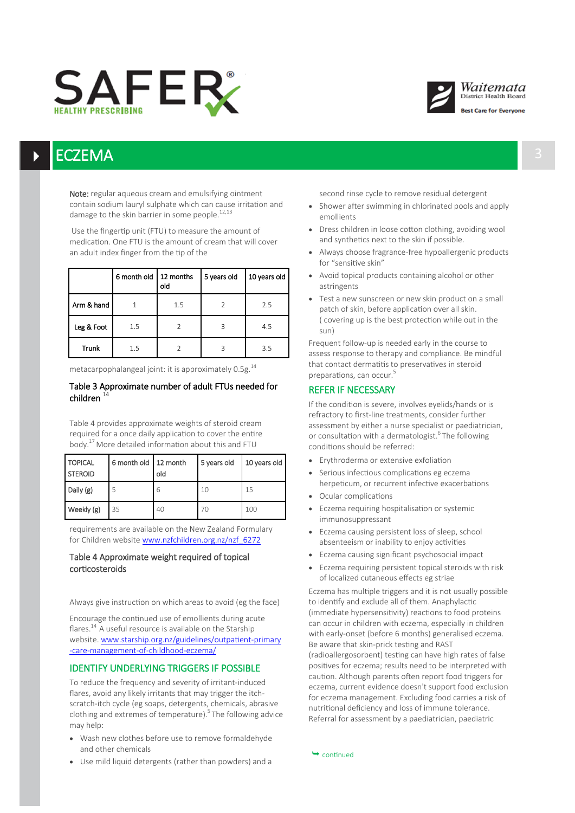## SAFER



## ECZEMA za obrazy podpisy za najprawiana za najprawiana za najprawiana za najprawiana za najprawiana za 193

Note: regular aqueous cream and emulsifying ointment contain sodium lauryl sulphate which can cause irritation and damage to the skin barrier in some people.<sup>12,13</sup>

Use the fingertip unit (FTU) to measure the amount of medication. One FTU is the amount of cream that will cover an adult index finger from the tip of the

|              | 6 month old   12 months | old | 5 years old | 10 years old |
|--------------|-------------------------|-----|-------------|--------------|
| Arm & hand   |                         | 1.5 |             | 2.5          |
| Leg & Foot   | 1.5                     |     | 3           | 4.5          |
| <b>Trunk</b> | 15                      |     |             | 3.5          |

metacarpophalangeal joint: it is approximately 0.5g.<sup>14</sup>

## Table 3 Approximate number of adult FTUs needed for children  $14$

Table 4 provides approximate weights of steroid cream required for a once daily application to cover the entire body.<sup>17</sup> More detailed information about this and FTU

| <b>TOPICAL</b><br><b>STEROID</b> | 6 month old 12 month | old | 5 years old | 10 years old |
|----------------------------------|----------------------|-----|-------------|--------------|
| Daily (g)                        | 5                    | 6   | 10          | 15           |
| Weekly (g)                       | 35                   | 40  | 70          | 100          |

requirements are available on the New Zealand Formulary for Children website [www.nzfchildren.org.nz/nzf\\_6272](https://www.nzfchildren.org.nz/nzf_6272)

## Table 4 Approximate weight required of topical corticosteroids

Always give instruction on which areas to avoid (eg the face)

Encourage the continued use of emollients during acute flares. $^{14}$  A useful resource is available on the Starship website. [www.starship.org.nz/guidelines/outpatient](https://www.starship.org.nz/guidelines/outpatient-primary-care-management-of-childhood-eczema/)-primary -care-[management](https://www.starship.org.nz/guidelines/outpatient-primary-care-management-of-childhood-eczema/)-of-childhood-eczema/

## IDENTIFY UNDERLYING TRIGGERS IF POSSIBLE

To reduce the frequency and severity of irritant-induced flares, avoid any likely irritants that may trigger the itchscratch-itch cycle (eg soaps, detergents, chemicals, abrasive clothing and extremes of temperature).<sup>5</sup> The following advice may help:

- Wash new clothes before use to remove formaldehyde and other chemicals
- Use mild liquid detergents (rather than powders) and a

second rinse cycle to remove residual detergent

- Shower after swimming in chlorinated pools and apply emollients
- Dress children in loose cotton clothing, avoiding wool and synthetics next to the skin if possible.
- Always choose fragrance-free hypoallergenic products for "sensitive skin"
- Avoid topical products containing alcohol or other astringents
- Test a new sunscreen or new skin product on a small patch of skin, before application over all skin. ( covering up is the best protection while out in the sun)

Frequent follow-up is needed early in the course to assess response to therapy and compliance. Be mindful that contact dermatitis to preservatives in steroid preparations, can occur.<sup>5</sup>

## REFER IF NECESSARY

If the condition is severe, involves eyelids/hands or is refractory to first-line treatments, consider further assessment by either a nurse specialist or paediatrician, or consultation with a dermatologist.<sup>6</sup>The following conditions should be referred:

- **Erythroderma or extensive exfoliation**
- Serious infectious complications eg eczema herpeticum, or recurrent infective exacerbations
- Ocular complications
- Eczema requiring hospitalisation or systemic immunosuppressant
- Eczema causing persistent loss of sleep, school absenteeism or inability to enjoy activities
- Eczema causing significant psychosocial impact
- Eczema requiring persistent topical steroids with risk of localized cutaneous effects eg striae

Eczema has multiple triggers and it is not usually possible to identify and exclude all of them. Anaphylactic (immediate hypersensitivity) reactions to food proteins can occur in children with eczema, especially in children with early-onset (before 6 months) generalised eczema. Be aware that skin-prick testing and RAST (radioallergosorbent) testing can have high rates of false positives for eczema; results need to be interpreted with caution. Although parents often report food triggers for eczema, current evidence doesn't support food exclusion for eczema management. Excluding food carries a risk of nutritional deficiency and loss of immune tolerance. Referral for assessment by a paediatrician, paediatric

 $\rightarrow$  continued